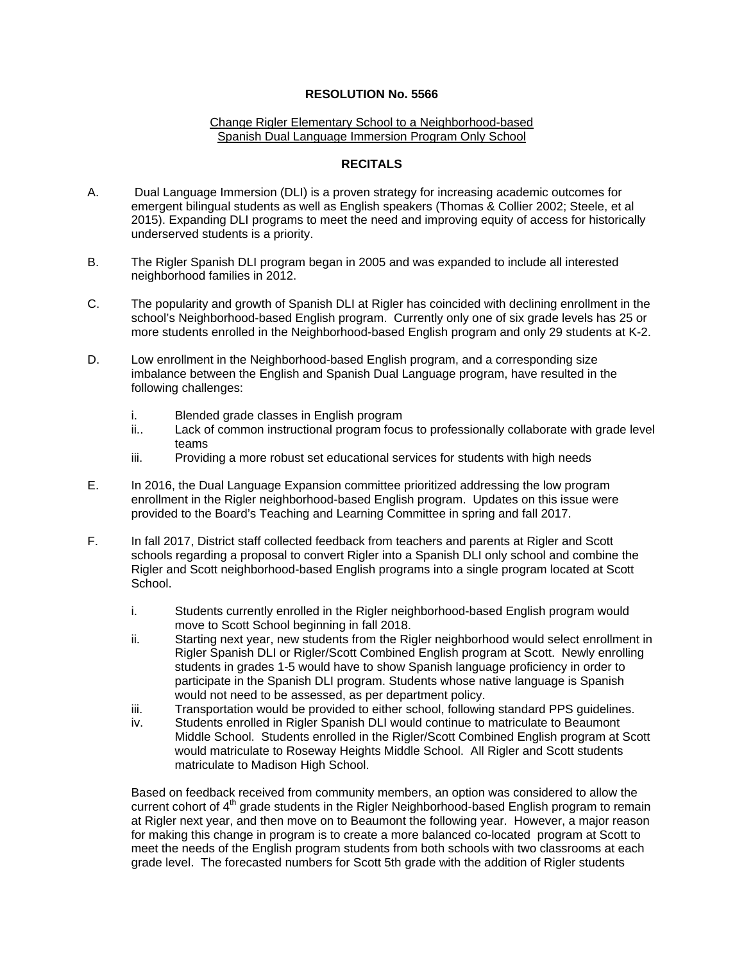## **RESOLUTION No. 5566**

## Change Rigler Elementary School to a Neighborhood-based Spanish Dual Language Immersion Program Only School

## **RECITALS**

- A. Dual Language Immersion (DLI) is a proven strategy for increasing academic outcomes for emergent bilingual students as well as English speakers (Thomas & Collier 2002; Steele, et al 2015). Expanding DLI programs to meet the need and improving equity of access for historically underserved students is a priority.
- B. The Rigler Spanish DLI program began in 2005 and was expanded to include all interested neighborhood families in 2012.
- C. The popularity and growth of Spanish DLI at Rigler has coincided with declining enrollment in the school's Neighborhood-based English program. Currently only one of six grade levels has 25 or more students enrolled in the Neighborhood-based English program and only 29 students at K-2.
- D. Low enrollment in the Neighborhood-based English program, and a corresponding size imbalance between the English and Spanish Dual Language program, have resulted in the following challenges:
	- i. Blended grade classes in English program
	- ii.. Lack of common instructional program focus to professionally collaborate with grade level teams
	- iii. Providing a more robust set educational services for students with high needs
- E. In 2016, the Dual Language Expansion committee prioritized addressing the low program enrollment in the Rigler neighborhood-based English program. Updates on this issue were provided to the Board's Teaching and Learning Committee in spring and fall 2017.
- F. In fall 2017, District staff collected feedback from teachers and parents at Rigler and Scott schools regarding a proposal to convert Rigler into a Spanish DLI only school and combine the Rigler and Scott neighborhood-based English programs into a single program located at Scott School.
	- i. Students currently enrolled in the Rigler neighborhood-based English program would move to Scott School beginning in fall 2018.
	- ii. Starting next year, new students from the Rigler neighborhood would select enrollment in Rigler Spanish DLI or Rigler/Scott Combined English program at Scott. Newly enrolling students in grades 1-5 would have to show Spanish language proficiency in order to participate in the Spanish DLI program. Students whose native language is Spanish would not need to be assessed, as per department policy.
	- iii. Transportation would be provided to either school, following standard PPS guidelines.
	- iv. Students enrolled in Rigler Spanish DLI would continue to matriculate to Beaumont Middle School. Students enrolled in the Rigler/Scott Combined English program at Scott would matriculate to Roseway Heights Middle School. All Rigler and Scott students matriculate to Madison High School.

Based on feedback received from community members, an option was considered to allow the current cohort of 4<sup>th</sup> grade students in the Rigler Neighborhood-based English program to remain at Rigler next year, and then move on to Beaumont the following year. However, a major reason for making this change in program is to create a more balanced co-located program at Scott to meet the needs of the English program students from both schools with two classrooms at each grade level. The forecasted numbers for Scott 5th grade with the addition of Rigler students